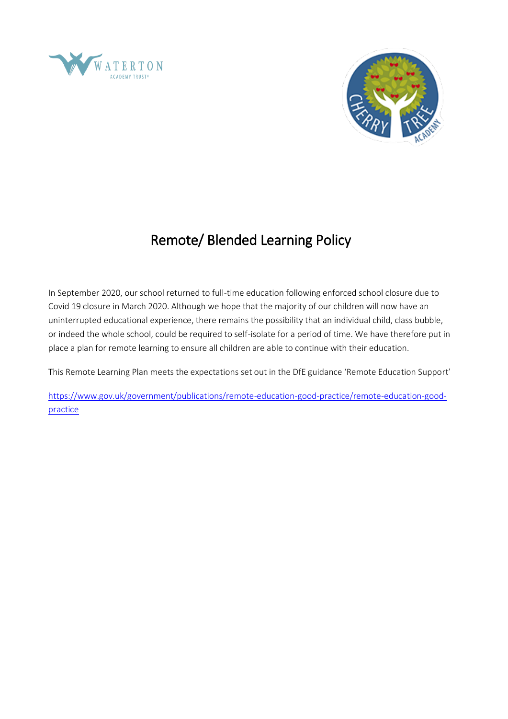



# Remote/ Blended Learning Policy

In September 2020, our school returned to full-time education following enforced school closure due to Covid 19 closure in March 2020. Although we hope that the majority of our children will now have an uninterrupted educational experience, there remains the possibility that an individual child, class bubble, or indeed the whole school, could be required to self-isolate for a period of time. We have therefore put in place a plan for remote learning to ensure all children are able to continue with their education.

This Remote Learning Plan meets the expectations set out in the DfE guidance 'Remote Education Support'

[https://www.gov.uk/government/publications/remote-education-good-practice/remote-education-good](https://www.gov.uk/government/publications/remote-education-good-practice/remote-education-good-practice)[practice](https://www.gov.uk/government/publications/remote-education-good-practice/remote-education-good-practice)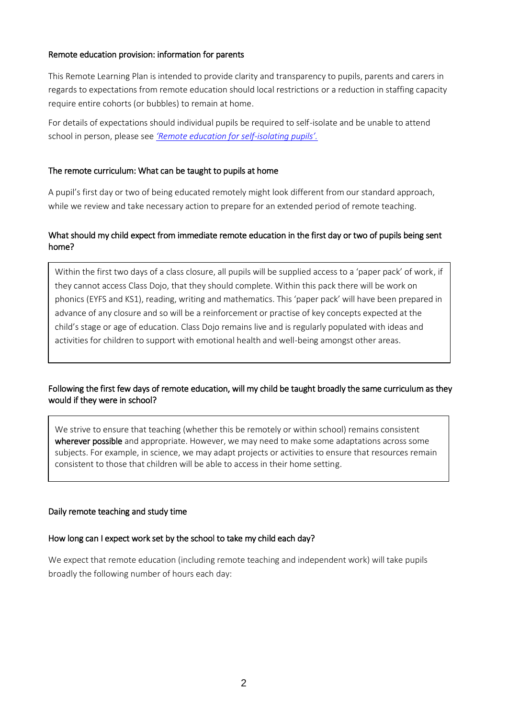#### Remote education provision: information for parents

This Remote Learning Plan is intended to provide clarity and transparency to pupils, parents and carers in regards to expectations from remote education should local restrictions or a reduction in staffing capacity require entire cohorts (or bubbles) to remain at home.

For details of expectations should individual pupils be required to self-isolate and be unable to attend school in person, please see *['Remote education for se](#page-6-0)lf-isolating pupils'.*

#### The remote curriculum: What can be taught to pupils at home

A pupil's first day or two of being educated remotely might look different from our standard approach, while we review and take necessary action to prepare for an extended period of remote teaching.

## What should my child expect from immediate remote education in the first day or two of pupils being sent home?

Within the first two days of a class closure, all pupils will be supplied access to a 'paper pack' of work, if they cannot access Class Dojo, that they should complete. Within this pack there will be work on phonics (EYFS and KS1), reading, writing and mathematics. This 'paper pack' will have been prepared in advance of any closure and so will be a reinforcement or practise of key concepts expected at the child's stage or age of education. Class Dojo remains live and is regularly populated with ideas and activities for children to support with emotional health and well-being amongst other areas.

## Following the first few days of remote education, will my child be taught broadly the same curriculum as they would if they were in school?

We strive to ensure that teaching (whether this be remotely or within school) remains consistent wherever possible and appropriate. However, we may need to make some adaptations across some subjects. For example, in science, we may adapt projects or activities to ensure that resources remain consistent to those that children will be able to access in their home setting.

#### Daily remote teaching and study time

#### How long can I expect work set by the school to take my child each day?

We expect that remote education (including remote teaching and independent work) will take pupils broadly the following number of hours each day: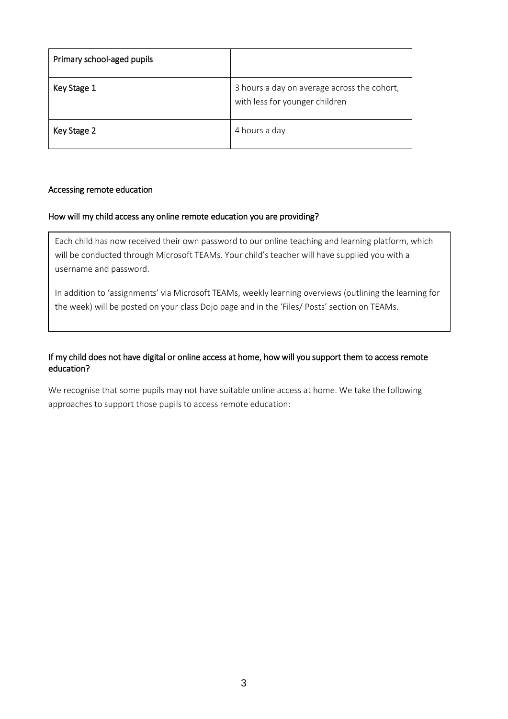| Primary school-aged pupils |                                                                               |
|----------------------------|-------------------------------------------------------------------------------|
| Key Stage 1                | 3 hours a day on average across the cohort,<br>with less for younger children |
| Key Stage 2                | 4 hours a day                                                                 |

#### Accessing remote education

#### How will my child access any online remote education you are providing?

Each child has now received their own password to our online teaching and learning platform, which will be conducted through Microsoft TEAMs. Your child's teacher will have supplied you with a username and password.

In addition to 'assignments' via Microsoft TEAMs, weekly learning overviews (outlining the learning for the week) will be posted on your class Dojo page and in the 'Files/ Posts' section on TEAMs.

## If my child does not have digital or online access at home, how will you support them to access remote education?

We recognise that some pupils may not have suitable online access at home. We take the following approaches to support those pupils to access remote education: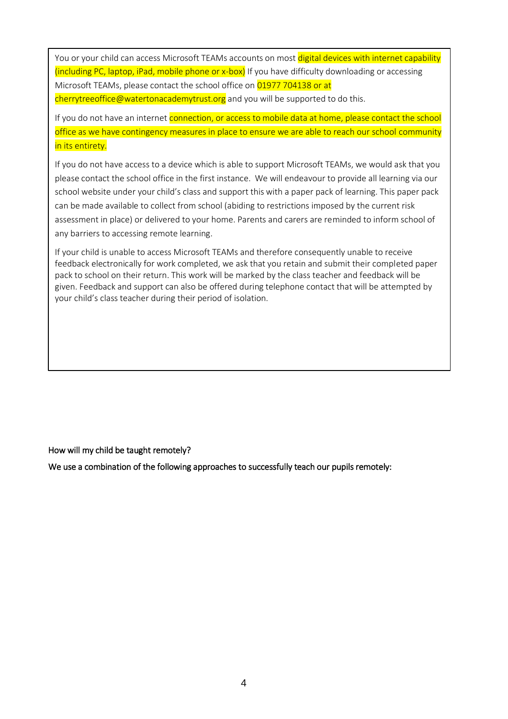You or your child can access Microsoft TEAMs accounts on most digital devices with internet capability (including PC, laptop, iPad, mobile phone or x-box) If you have difficulty downloading or accessing Microsoft TEAMs, please contact the school office on 01977 704138 or at

cherrytreeoffice@watertonacademytrust.org and you will be supported to do this.

If you do not have an internet connection, or access to mobile data at home, please contact the school office as we have contingency measures in place to ensure we are able to reach our school community in its entirety.

If you do not have access to a device which is able to support Microsoft TEAMs, we would ask that you please contact the school office in the first instance. We will endeavour to provide all learning via our school website under your child's class and support this with a paper pack of learning. This paper pack can be made available to collect from school (abiding to restrictions imposed by the current risk assessment in place) or delivered to your home. Parents and carers are reminded to inform school of any barriers to accessing remote learning.

If your child is unable to access Microsoft TEAMs and therefore consequently unable to receive feedback electronically for work completed, we ask that you retain and submit their completed paper pack to school on their return. This work will be marked by the class teacher and feedback will be given. Feedback and support can also be offered during telephone contact that will be attempted by your child's class teacher during their period of isolation.

How will my child be taught remotely?

We use a combination of the following approaches to successfully teach our pupils remotely: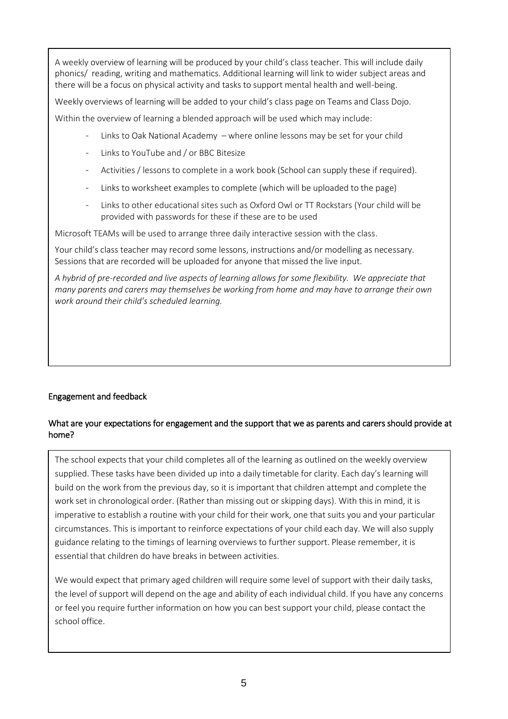A weekly overview of learning will be produced by your child's class teacher. This will include daily phonics/ reading, writing and mathematics. Additional learning will link to wider subject areas and there will be a focus on physical activity and tasks to support mental health and well-being.

Weekly overviews of learning will be added to your child's class page on Teams and Class Dojo.

Within the overview of learning a blended approach will be used which may include:

- Links to Oak National Academy where online lessons may be set for your child
- Links to YouTube and / or BBC Bitesize
- Activities / lessons to complete in a work book (School can supply these if required).
- Links to worksheet examples to complete (which will be uploaded to the page)
- Links to other educational sites such as Oxford Owl or TT Rockstars (Your child will be provided with passwords for these if these are to be used

Microsoft TEAMs will be used to arrange three daily interactive session with the class.

Your child's class teacher may record some lessons, instructions and/or modelling as necessary. Sessions that are recorded will be uploaded for anyone that missed the live input.

*A hybrid of pre-recorded and live aspects of learning allows for some flexibility. We appreciate that many parents and carers may themselves be working from home and may have to arrange their own work around their child's scheduled learning.*

# Engagement and feedback

## What are your expectations for engagement and the support that we as parents and carers should provide at home?

The school expects that your child completes all of the learning as outlined on the weekly overview supplied. These tasks have been divided up into a daily timetable for clarity. Each day's learning will build on the work from the previous day, so it is important that children attempt and complete the work set in chronological order. (Rather than missing out or skipping days). With this in mind, it is imperative to establish a routine with your child for their work, one that suits you and your particular circumstances. This is important to reinforce expectations of your child each day. We will also supply guidance relating to the timings of learning overviews to further support. Please remember, it is essential that children do have breaks in between activities.

We would expect that primary aged children will require some level of support with their daily tasks, the level of support will depend on the age and ability of each individual child. If you have any concerns or feel you require further information on how you can best support your child, please contact the school office.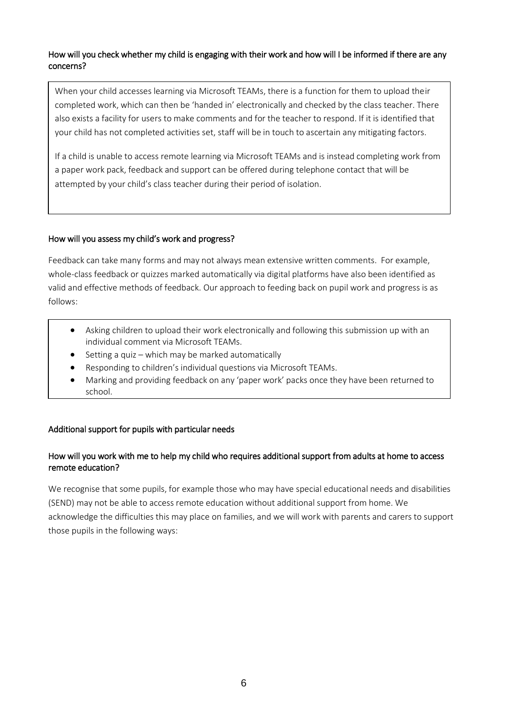## How will you check whether my child is engaging with their work and how will I be informed if there are any concerns?

When your child accesses learning via Microsoft TEAMs, there is a function for them to upload their completed work, which can then be 'handed in' electronically and checked by the class teacher. There also exists a facility for users to make comments and for the teacher to respond. If it is identified that your child has not completed activities set, staff will be in touch to ascertain any mitigating factors.

If a child is unable to access remote learning via Microsoft TEAMs and is instead completing work from a paper work pack, feedback and support can be offered during telephone contact that will be attempted by your child's class teacher during their period of isolation.

### How will you assess my child's work and progress?

Feedback can take many forms and may not always mean extensive written comments. For example, whole-class feedback or quizzes marked automatically via digital platforms have also been identified as valid and effective methods of feedback. Our approach to feeding back on pupil work and progress is as follows:

- Asking children to upload their work electronically and following this submission up with an individual comment via Microsoft TEAMs.
- Setting a quiz which may be marked automatically
- Responding to children's individual questions via Microsoft TEAMs.
- Marking and providing feedback on any 'paper work' packs once they have been returned to school.

# Additional support for pupils with particular needs

## How will you work with me to help my child who requires additional support from adults at home to access remote education?

We recognise that some pupils, for example those who may have special educational needs and disabilities (SEND) may not be able to access remote education without additional support from home. We acknowledge the difficulties this may place on families, and we will work with parents and carers to support those pupils in the following ways: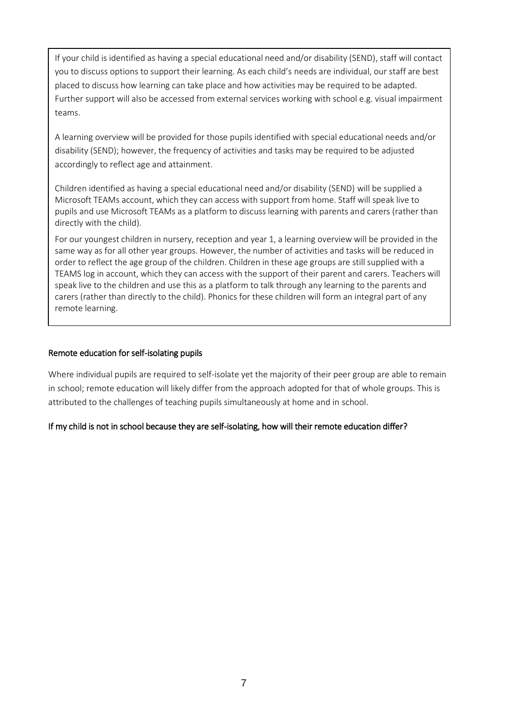If your child is identified as having a special educational need and/or disability (SEND), staff will contact you to discuss options to support their learning. As each child's needs are individual, our staff are best placed to discuss how learning can take place and how activities may be required to be adapted. Further support will also be accessed from external services working with school e.g. visual impairment teams.

A learning overview will be provided for those pupils identified with special educational needs and/or disability (SEND); however, the frequency of activities and tasks may be required to be adjusted accordingly to reflect age and attainment.

Children identified as having a special educational need and/or disability (SEND) will be supplied a Microsoft TEAMs account, which they can access with support from home. Staff will speak live to pupils and use Microsoft TEAMs as a platform to discuss learning with parents and carers (rather than directly with the child).

For our youngest children in nursery, reception and year 1, a learning overview will be provided in the same way as for all other year groups. However, the number of activities and tasks will be reduced in order to reflect the age group of the children. Children in these age groups are still supplied with a TEAMS log in account, which they can access with the support of their parent and carers. Teachers will speak live to the children and use this as a platform to talk through any learning to the parents and carers (rather than directly to the child). Phonics for these children will form an integral part of any remote learning.

### <span id="page-6-0"></span>Remote education for self-isolating pupils

Where individual pupils are required to self-isolate yet the majority of their peer group are able to remain in school; remote education will likely differ from the approach adopted for that of whole groups. This is attributed to the challenges of teaching pupils simultaneously at home and in school.

# If my child is not in school because they are self-isolating, how will their remote education differ?